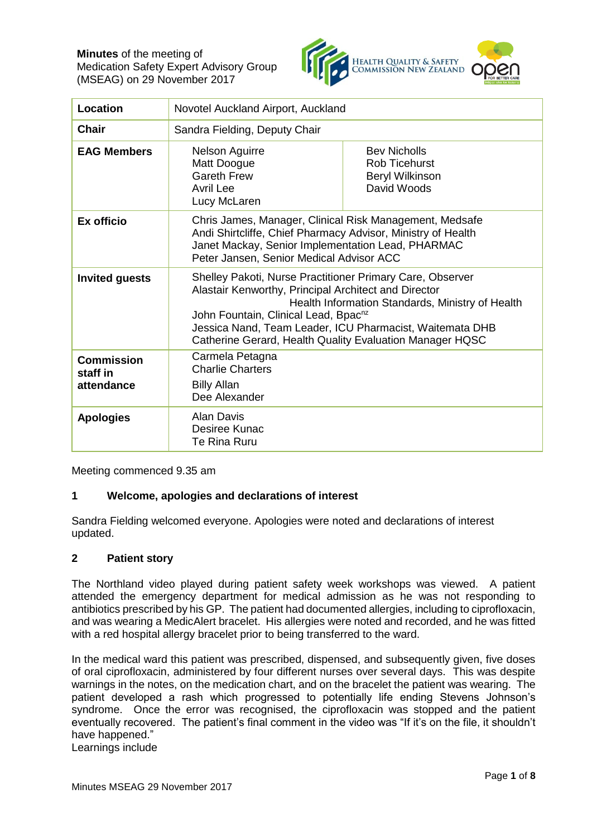

| Location                                    | Novotel Auckland Airport, Auckland                                                                                                                                                                                                                                                                                                                |                                                                                      |
|---------------------------------------------|---------------------------------------------------------------------------------------------------------------------------------------------------------------------------------------------------------------------------------------------------------------------------------------------------------------------------------------------------|--------------------------------------------------------------------------------------|
| <b>Chair</b>                                | Sandra Fielding, Deputy Chair                                                                                                                                                                                                                                                                                                                     |                                                                                      |
| <b>EAG Members</b>                          | <b>Nelson Aguirre</b><br>Matt Doogue<br><b>Gareth Frew</b><br>Avril Lee<br>Lucy McLaren                                                                                                                                                                                                                                                           | <b>Bev Nicholls</b><br><b>Rob Ticehurst</b><br><b>Beryl Wilkinson</b><br>David Woods |
| Ex officio                                  | Chris James, Manager, Clinical Risk Management, Medsafe<br>Andi Shirtcliffe, Chief Pharmacy Advisor, Ministry of Health<br>Janet Mackay, Senior Implementation Lead, PHARMAC<br>Peter Jansen, Senior Medical Advisor ACC                                                                                                                          |                                                                                      |
| <b>Invited guests</b>                       | Shelley Pakoti, Nurse Practitioner Primary Care, Observer<br>Alastair Kenworthy, Principal Architect and Director<br>Health Information Standards, Ministry of Health<br>John Fountain, Clinical Lead, Bpac <sup>nz</sup><br>Jessica Nand, Team Leader, ICU Pharmacist, Waitemata DHB<br>Catherine Gerard, Health Quality Evaluation Manager HQSC |                                                                                      |
| <b>Commission</b><br>staff in<br>attendance | Carmela Petagna<br><b>Charlie Charters</b><br><b>Billy Allan</b><br>Dee Alexander                                                                                                                                                                                                                                                                 |                                                                                      |
| <b>Apologies</b>                            | <b>Alan Davis</b><br>Desiree Kunac<br>Te Rina Ruru                                                                                                                                                                                                                                                                                                |                                                                                      |

Meeting commenced 9.35 am

# **1 Welcome, apologies and declarations of interest**

Sandra Fielding welcomed everyone. Apologies were noted and declarations of interest updated.

#### **2 Patient story**

The Northland video played during patient safety week workshops was viewed. A patient attended the emergency department for medical admission as he was not responding to antibiotics prescribed by his GP. The patient had documented allergies, including to ciprofloxacin, and was wearing a MedicAlert bracelet. His allergies were noted and recorded, and he was fitted with a red hospital allergy bracelet prior to being transferred to the ward.

In the medical ward this patient was prescribed, dispensed, and subsequently given, five doses of oral ciprofloxacin, administered by four different nurses over several days. This was despite warnings in the notes, on the medication chart, and on the bracelet the patient was wearing. The patient developed a rash which progressed to potentially life ending Stevens Johnson's syndrome. Once the error was recognised, the ciprofloxacin was stopped and the patient eventually recovered. The patient's final comment in the video was "If it's on the file, it shouldn't have happened."

Learnings include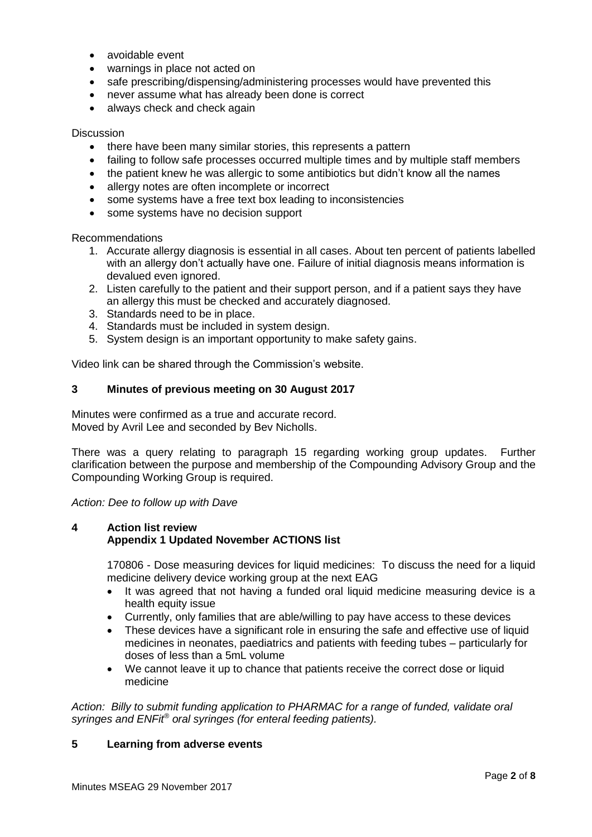- avoidable event
- warnings in place not acted on
- safe prescribing/dispensing/administering processes would have prevented this
- never assume what has already been done is correct
- always check and check again

#### **Discussion**

- there have been many similar stories, this represents a pattern
- failing to follow safe processes occurred multiple times and by multiple staff members
- the patient knew he was allergic to some antibiotics but didn't know all the names
- allergy notes are often incomplete or incorrect
- some systems have a free text box leading to inconsistencies
- some systems have no decision support

Recommendations

- 1. Accurate allergy diagnosis is essential in all cases. About ten percent of patients labelled with an allergy don't actually have one. Failure of initial diagnosis means information is devalued even ignored.
- 2. Listen carefully to the patient and their support person, and if a patient says they have an allergy this must be checked and accurately diagnosed.
- 3. Standards need to be in place.
- 4. Standards must be included in system design.
- 5. System design is an important opportunity to make safety gains.

Video link can be shared through the Commission's website.

# **3 Minutes of previous meeting on 30 August 2017**

Minutes were confirmed as a true and accurate record. Moved by Avril Lee and seconded by Bev Nicholls.

There was a query relating to paragraph 15 regarding working group updates. Further clarification between the purpose and membership of the Compounding Advisory Group and the Compounding Working Group is required.

*Action: Dee to follow up with Dave*

## **4 Action list review Appendix 1 Updated November ACTIONS list**

170806 - Dose measuring devices for liquid medicines: To discuss the need for a liquid medicine delivery device working group at the next EAG

- It was agreed that not having a funded oral liquid medicine measuring device is a health equity issue
- Currently, only families that are able/willing to pay have access to these devices
- These devices have a significant role in ensuring the safe and effective use of liquid medicines in neonates, paediatrics and patients with feeding tubes – particularly for doses of less than a 5mL volume
- We cannot leave it up to chance that patients receive the correct dose or liquid medicine

*Action: Billy to submit funding application to PHARMAC for a range of funded, validate oral syringes and ENFit® oral syringes (for enteral feeding patients).*

### **5 Learning from adverse events**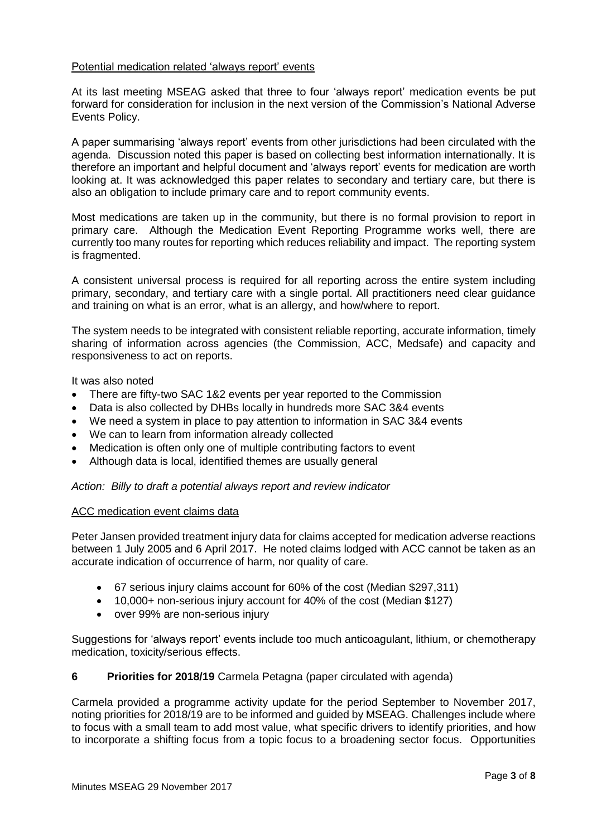# Potential medication related 'always report' events

At its last meeting MSEAG asked that three to four 'always report' medication events be put forward for consideration for inclusion in the next version of the Commission's National Adverse Events Policy.

A paper summarising 'always report' events from other jurisdictions had been circulated with the agenda. Discussion noted this paper is based on collecting best information internationally. It is therefore an important and helpful document and 'always report' events for medication are worth looking at. It was acknowledged this paper relates to secondary and tertiary care, but there is also an obligation to include primary care and to report community events.

Most medications are taken up in the community, but there is no formal provision to report in primary care. Although the Medication Event Reporting Programme works well, there are currently too many routes for reporting which reduces reliability and impact. The reporting system is fragmented.

A consistent universal process is required for all reporting across the entire system including primary, secondary, and tertiary care with a single portal. All practitioners need clear guidance and training on what is an error, what is an allergy, and how/where to report.

The system needs to be integrated with consistent reliable reporting, accurate information, timely sharing of information across agencies (the Commission, ACC, Medsafe) and capacity and responsiveness to act on reports.

It was also noted

- There are fifty-two SAC 1&2 events per year reported to the Commission
- Data is also collected by DHBs locally in hundreds more SAC 3&4 events
- We need a system in place to pay attention to information in SAC 3&4 events
- We can to learn from information already collected
- Medication is often only one of multiple contributing factors to event
- Although data is local, identified themes are usually general

*Action: Billy to draft a potential always report and review indicator*

#### ACC medication event claims data

Peter Jansen provided treatment injury data for claims accepted for medication adverse reactions between 1 July 2005 and 6 April 2017. He noted claims lodged with ACC cannot be taken as an accurate indication of occurrence of harm, nor quality of care.

- 67 serious injury claims account for 60% of the cost (Median \$297,311)
- 10,000+ non-serious injury account for 40% of the cost (Median \$127)
- over 99% are non-serious injury

Suggestions for 'always report' events include too much anticoagulant, lithium, or chemotherapy medication, toxicity/serious effects.

#### **6 Priorities for 2018/19** Carmela Petagna (paper circulated with agenda)

Carmela provided a programme activity update for the period September to November 2017, noting priorities for 2018/19 are to be informed and guided by MSEAG. Challenges include where to focus with a small team to add most value, what specific drivers to identify priorities, and how to incorporate a shifting focus from a topic focus to a broadening sector focus. Opportunities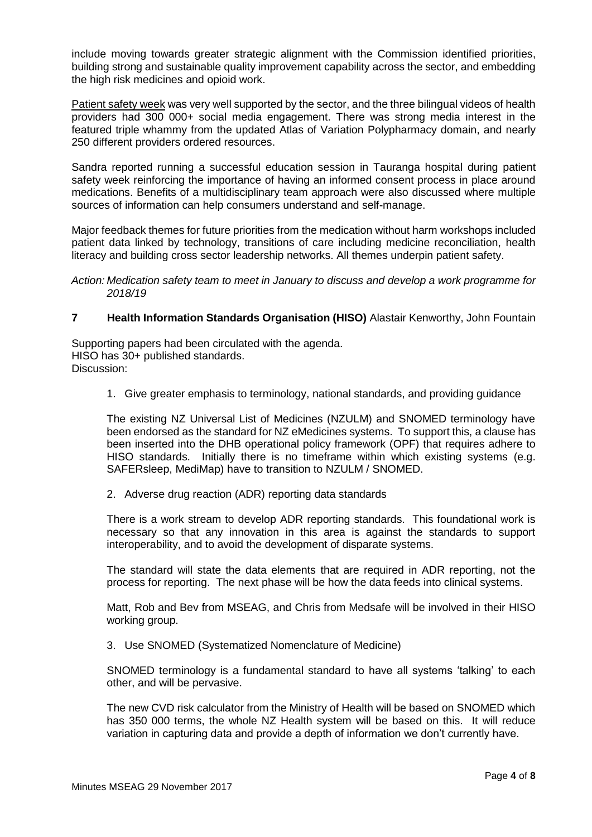include moving towards greater strategic alignment with the Commission identified priorities, building strong and sustainable quality improvement capability across the sector, and embedding the high risk medicines and opioid work.

Patient safety week was very well supported by the sector, and the three bilingual videos of health providers had 300 000+ social media engagement. There was strong media interest in the featured triple whammy from the updated Atlas of Variation Polypharmacy domain, and nearly 250 different providers ordered resources.

Sandra reported running a successful education session in Tauranga hospital during patient safety week reinforcing the importance of having an informed consent process in place around medications. Benefits of a multidisciplinary team approach were also discussed where multiple sources of information can help consumers understand and self-manage.

Major feedback themes for future priorities from the medication without harm workshops included patient data linked by technology, transitions of care including medicine reconciliation, health literacy and building cross sector leadership networks. All themes underpin patient safety.

*Action: Medication safety team to meet in January to discuss and develop a work programme for 2018/19*

# **7 Health Information Standards Organisation (HISO)** Alastair Kenworthy, John Fountain

Supporting papers had been circulated with the agenda. HISO has 30+ published standards. Discussion:

1. Give greater emphasis to terminology, national standards, and providing guidance

The existing NZ Universal List of Medicines (NZULM) and SNOMED terminology have been endorsed as the standard for NZ eMedicines systems. To support this, a clause has been inserted into the DHB operational policy framework (OPF) that requires adhere to HISO standards. Initially there is no timeframe within which existing systems (e.g. SAFERsleep, MediMap) have to transition to NZULM / SNOMED.

2. Adverse drug reaction (ADR) reporting data standards

There is a work stream to develop ADR reporting standards. This foundational work is necessary so that any innovation in this area is against the standards to support interoperability, and to avoid the development of disparate systems.

The standard will state the data elements that are required in ADR reporting, not the process for reporting. The next phase will be how the data feeds into clinical systems.

Matt, Rob and Bev from MSEAG, and Chris from Medsafe will be involved in their HISO working group.

3. Use SNOMED (Systematized Nomenclature of Medicine)

SNOMED terminology is a fundamental standard to have all systems 'talking' to each other, and will be pervasive.

The new CVD risk calculator from the Ministry of Health will be based on SNOMED which has 350 000 terms, the whole NZ Health system will be based on this. It will reduce variation in capturing data and provide a depth of information we don't currently have.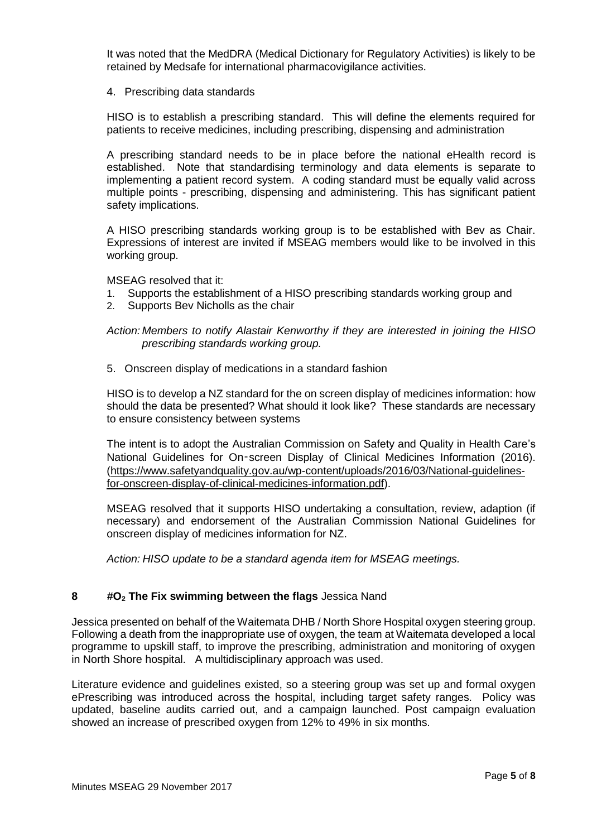It was noted that the MedDRA (Medical Dictionary for Regulatory Activities) is likely to be retained by Medsafe for international pharmacovigilance activities.

4. Prescribing data standards

HISO is to establish a prescribing standard. This will define the elements required for patients to receive medicines, including prescribing, dispensing and administration

A prescribing standard needs to be in place before the national eHealth record is established. Note that standardising terminology and data elements is separate to implementing a patient record system. A coding standard must be equally valid across multiple points - prescribing, dispensing and administering. This has significant patient safety implications.

A HISO prescribing standards working group is to be established with Bev as Chair. Expressions of interest are invited if MSEAG members would like to be involved in this working group.

MSEAG resolved that it:

- 1. Supports the establishment of a HISO prescribing standards working group and
- 2. Supports Bev Nicholls as the chair

*Action: Members to notify Alastair Kenworthy if they are interested in joining the HISO prescribing standards working group.*

5. Onscreen display of medications in a standard fashion

HISO is to develop a NZ standard for the on screen display of medicines information: how should the data be presented? What should it look like? These standards are necessary to ensure consistency between systems

The intent is to adopt the Australian Commission on Safety and Quality in Health Care's National Guidelines for On‑screen Display of Clinical Medicines Information (2016). [\(https://www.safetyandquality.gov.au/wp-content/uploads/2016/03/National-guidelines](https://www.safetyandquality.gov.au/wp-content/uploads/2016/03/National-guidelines-for-onscreen-display-of-clinical-medicines-information.pdf)[for-onscreen-display-of-clinical-medicines-information.pdf\)](https://www.safetyandquality.gov.au/wp-content/uploads/2016/03/National-guidelines-for-onscreen-display-of-clinical-medicines-information.pdf).

MSEAG resolved that it supports HISO undertaking a consultation, review, adaption (if necessary) and endorsement of the Australian Commission National Guidelines for onscreen display of medicines information for NZ.

*Action: HISO update to be a standard agenda item for MSEAG meetings.*

# **8 #O<sup>2</sup> The Fix swimming between the flags** Jessica Nand

Jessica presented on behalf of the Waitemata DHB / North Shore Hospital oxygen steering group. Following a death from the inappropriate use of oxygen, the team at Waitemata developed a local programme to upskill staff, to improve the prescribing, administration and monitoring of oxygen in North Shore hospital. A multidisciplinary approach was used.

Literature evidence and guidelines existed, so a steering group was set up and formal oxygen ePrescribing was introduced across the hospital, including target safety ranges. Policy was updated, baseline audits carried out, and a campaign launched. Post campaign evaluation showed an increase of prescribed oxygen from 12% to 49% in six months.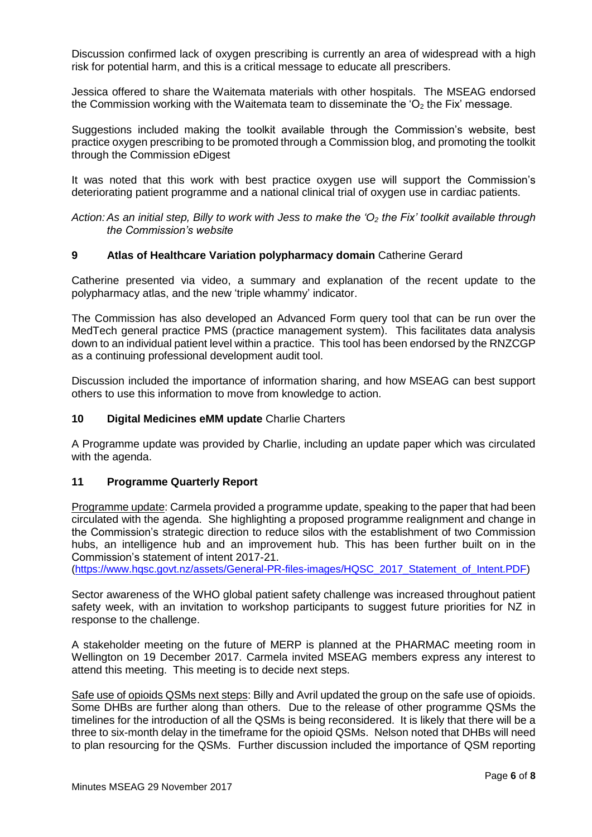Discussion confirmed lack of oxygen prescribing is currently an area of widespread with a high risk for potential harm, and this is a critical message to educate all prescribers.

Jessica offered to share the Waitemata materials with other hospitals. The MSEAG endorsed the Commission working with the Waitemata team to disseminate the ' $O<sub>2</sub>$  the Fix' message.

Suggestions included making the toolkit available through the Commission's website, best practice oxygen prescribing to be promoted through a Commission blog, and promoting the toolkit through the Commission eDigest

It was noted that this work with best practice oxygen use will support the Commission's deteriorating patient programme and a national clinical trial of oxygen use in cardiac patients.

*Action:As an initial step, Billy to work with Jess to make the 'O<sup>2</sup> the Fix' toolkit available through the Commission's website*

## **9 Atlas of Healthcare Variation polypharmacy domain** Catherine Gerard

Catherine presented via video, a summary and explanation of the recent update to the polypharmacy atlas, and the new 'triple whammy' indicator.

The Commission has also developed an Advanced Form query tool that can be run over the MedTech general practice PMS (practice management system). This facilitates data analysis down to an individual patient level within a practice. This tool has been endorsed by the RNZCGP as a continuing professional development audit tool.

Discussion included the importance of information sharing, and how MSEAG can best support others to use this information to move from knowledge to action.

### **10 Digital Medicines eMM update** Charlie Charters

A Programme update was provided by Charlie, including an update paper which was circulated with the agenda.

#### **11 Programme Quarterly Report**

Programme update: Carmela provided a programme update, speaking to the paper that had been circulated with the agenda. She highlighting a proposed programme realignment and change in the Commission's strategic direction to reduce silos with the establishment of two Commission hubs, an intelligence hub and an improvement hub. This has been further built on in the Commission's statement of intent 2017-21.

[\(https://www.hqsc.govt.nz/assets/General-PR-files-images/HQSC\\_2017\\_Statement\\_of\\_Intent.PDF\)](https://www.hqsc.govt.nz/assets/General-PR-files-images/HQSC_2017_Statement_of_Intent.PDF)

Sector awareness of the WHO global patient safety challenge was increased throughout patient safety week, with an invitation to workshop participants to suggest future priorities for NZ in response to the challenge.

A stakeholder meeting on the future of MERP is planned at the PHARMAC meeting room in Wellington on 19 December 2017. Carmela invited MSEAG members express any interest to attend this meeting. This meeting is to decide next steps.

Safe use of opioids QSMs next steps: Billy and Avril updated the group on the safe use of opioids. Some DHBs are further along than others. Due to the release of other programme QSMs the timelines for the introduction of all the QSMs is being reconsidered. It is likely that there will be a three to six-month delay in the timeframe for the opioid QSMs. Nelson noted that DHBs will need to plan resourcing for the QSMs. Further discussion included the importance of QSM reporting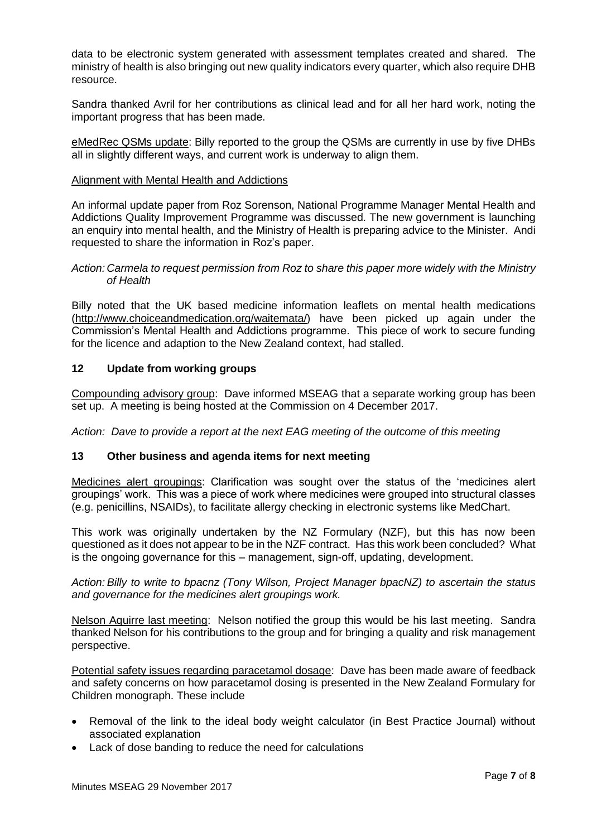data to be electronic system generated with assessment templates created and shared. The ministry of health is also bringing out new quality indicators every quarter, which also require DHB resource.

Sandra thanked Avril for her contributions as clinical lead and for all her hard work, noting the important progress that has been made.

eMedRec QSMs update: Billy reported to the group the QSMs are currently in use by five DHBs all in slightly different ways, and current work is underway to align them.

## Alignment with Mental Health and Addictions

An informal update paper from Roz Sorenson, National Programme Manager Mental Health and Addictions Quality Improvement Programme was discussed. The new government is launching an enquiry into mental health, and the Ministry of Health is preparing advice to the Minister. Andi requested to share the information in Roz's paper.

*Action: Carmela to request permission from Roz to share this paper more widely with the Ministry of Health*

Billy noted that the UK based medicine information leaflets on mental health medications [\(http://www.choiceandmedication.org/waitemata/\)](http://www.choiceandmedication.org/waitemata/) have been picked up again under the Commission's Mental Health and Addictions programme. This piece of work to secure funding for the licence and adaption to the New Zealand context, had stalled.

# **12 Update from working groups**

Compounding advisory group: Dave informed MSEAG that a separate working group has been set up. A meeting is being hosted at the Commission on 4 December 2017.

*Action: Dave to provide a report at the next EAG meeting of the outcome of this meeting*

# **13 Other business and agenda items for next meeting**

Medicines alert groupings: Clarification was sought over the status of the 'medicines alert groupings' work. This was a piece of work where medicines were grouped into structural classes (e.g. penicillins, NSAIDs), to facilitate allergy checking in electronic systems like MedChart.

This work was originally undertaken by the NZ Formulary (NZF), but this has now been questioned as it does not appear to be in the NZF contract. Has this work been concluded? What is the ongoing governance for this – management, sign-off, updating, development.

*Action: Billy to write to bpacnz (Tony Wilson, Project Manager bpacNZ) to ascertain the status and governance for the medicines alert groupings work.*

Nelson Aquirre last meeting: Nelson notified the group this would be his last meeting. Sandra thanked Nelson for his contributions to the group and for bringing a quality and risk management perspective.

Potential safety issues regarding paracetamol dosage: Dave has been made aware of feedback and safety concerns on how paracetamol dosing is presented in the New Zealand Formulary for Children monograph. These include

- Removal of the link to the ideal body weight calculator (in Best Practice Journal) without associated explanation
- Lack of dose banding to reduce the need for calculations